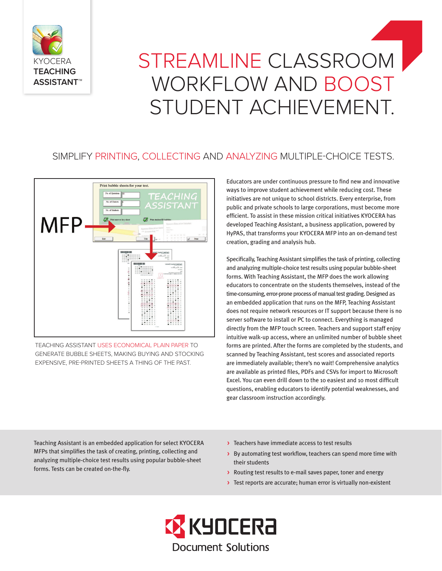

# STREAMLINE CLASSROOM WORKFLOW AND BOOST STUDENT ACHIEVEMENT.

## SIMPLIFY PRINTING, COLLECTING AND ANALYZING MULTIPLE-CHOICE TESTS.



TEACHING ASSISTANT USES ECONOMICAL PLAIN PAPER TO GENERATE BUBBLE SHEETS, MAKING BUYING AND STOCKING EXPENSIVE, PRE-PRINTED SHEETS A THING OF THE PAST.

Educators are under continuous pressure to find new and innovative ways to improve student achievement while reducing cost. These initiatives are not unique to school districts. Every enterprise, from public and private schools to large corporations, must become more efficient. To assist in these mission critical initiatives KYOCERA has developed Teaching Assistant, a business application, powered by HyPAS, that transforms your KYOCERA MFP into an on-demand test creation, grading and analysis hub.

Specifically, Teaching Assistant simplifies the task of printing, collecting and analyzing multiple-choice test results using popular bubble-sheet forms. With Teaching Assistant, the MFP does the work allowing educators to concentrate on the students themselves, instead of the time-consuming, error-prone process of manual test grading. Designed as an embedded application that runs on the MFP, Teaching Assistant does not require network resources or IT support because there is no server software to install or PC to connect. Everything is managed directly from the MFP touch screen. Teachers and support staff enjoy intuitive walk-up access, where an unlimited number of bubble sheet forms are printed. After the forms are completed by the students, and scanned by Teaching Assistant, test scores and associated reports are immediately available; there's no wait! Comprehensive analytics are available as printed files, PDFs and CSVs for import to Microsoft Excel. You can even drill down to the 10 easiest and 10 most difficult questions, enabling educators to identify potential weaknesses, and gear classroom instruction accordingly.

Teaching Assistant is an embedded application for select KYOCERA MFPs that simplifies the task of creating, printing, collecting and analyzing multiple-choice test results using popular bubble-sheet forms. Tests can be created on-the-fly.

- > Teachers have immediate access to test results
- > By automating test workflow, teachers can spend more time with their students
- > Routing test results to e-mail saves paper, toner and energy
- > Test reports are accurate; human error is virtually non-existent